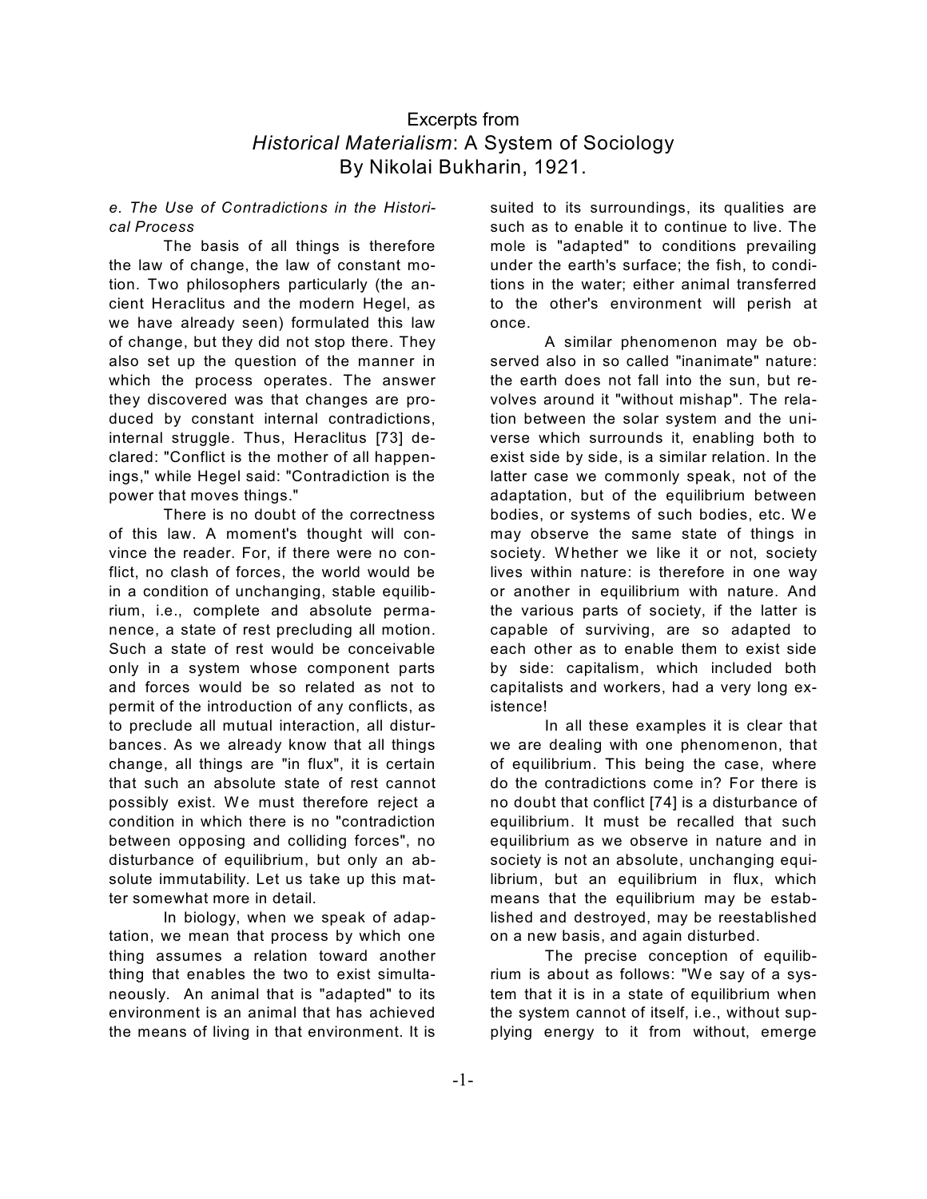# Excerpts from *Historical Materialism*: A System of Sociology By Nikolai Bukharin, 1921.

#### *e. The Use of Contradictions in the Historical Process*

The basis of all things is therefore the law of change, the law of constant motion. Two philosophers particularly (the ancient Heraclitus and the modern Hegel, as we have already seen) formulated this law of change, but they did not stop there. They also set up the question of the manner in which the process operates. The answer they discovered was that changes are produced by constant internal contradictions, internal struggle. Thus, Heraclitus [73] declared: "Conflict is the mother of all happenings," while Hegel said: "Contradiction is the power that moves things."

There is no doubt of the correctness of this law. A moment's thought will convince the reader. For, if there were no conflict, no clash of forces, the world would be in a condition of unchanging, stable equilibrium, i.e., complete and absolute permanence, a state of rest precluding all motion. Such a state of rest would be conceivable only in a system whose component parts and forces would be so related as not to permit of the introduction of any conflicts, as to preclude all mutual interaction, all disturbances. As we already know that all things change, all things are "in flux", it is certain that such an absolute state of rest cannot possibly exist. We must therefore reject a condition in which there is no "contradiction between opposing and colliding forces", no disturbance of equilibrium, but only an absolute immutability. Let us take up this matter somewhat more in detail.

In biology, when we speak of adaptation, we mean that process by which one thing assumes a relation toward another thing that enables the two to exist simultaneously. An animal that is "adapted" to its environment is an animal that has achieved the means of living in that environment. It is

suited to its surroundings, its qualities are such as to enable it to continue to live. The mole is "adapted" to conditions prevailing under the earth's surface; the fish, to conditions in the water; either animal transferred to the other's environment will perish at once.

A similar phenomenon may be observed also in so called "inanimate" nature: the earth does not fall into the sun, but revolves around it "without mishap". The relation between the solar system and the universe which surrounds it, enabling both to exist side by side, is a similar relation. In the latter case we commonly speak, not of the adaptation, but of the equilibrium between bodies, or systems of such bodies, etc. We may observe the same state of things in society. Whether we like it or not, society lives within nature: is therefore in one way or another in equilibrium with nature. And the various parts of society, if the latter is capable of surviving, are so adapted to each other as to enable them to exist side by side: capitalism, which included both capitalists and workers, had a very long existence!

In all these examples it is clear that we are dealing with one phenomenon, that of equilibrium. This being the case, where do the contradictions come in? For there is no doubt that conflict [74] is a disturbance of equilibrium. It must be recalled that such equilibrium as we observe in nature and in society is not an absolute, unchanging equilibrium, but an equilibrium in flux, which means that the equilibrium may be established and destroyed, may be reestablished on a new basis, and again disturbed.

The precise conception of equilibrium is about as follows: "We say of a system that it is in a state of equilibrium when the system cannot of itself, i.e., without supplying energy to it from without, emerge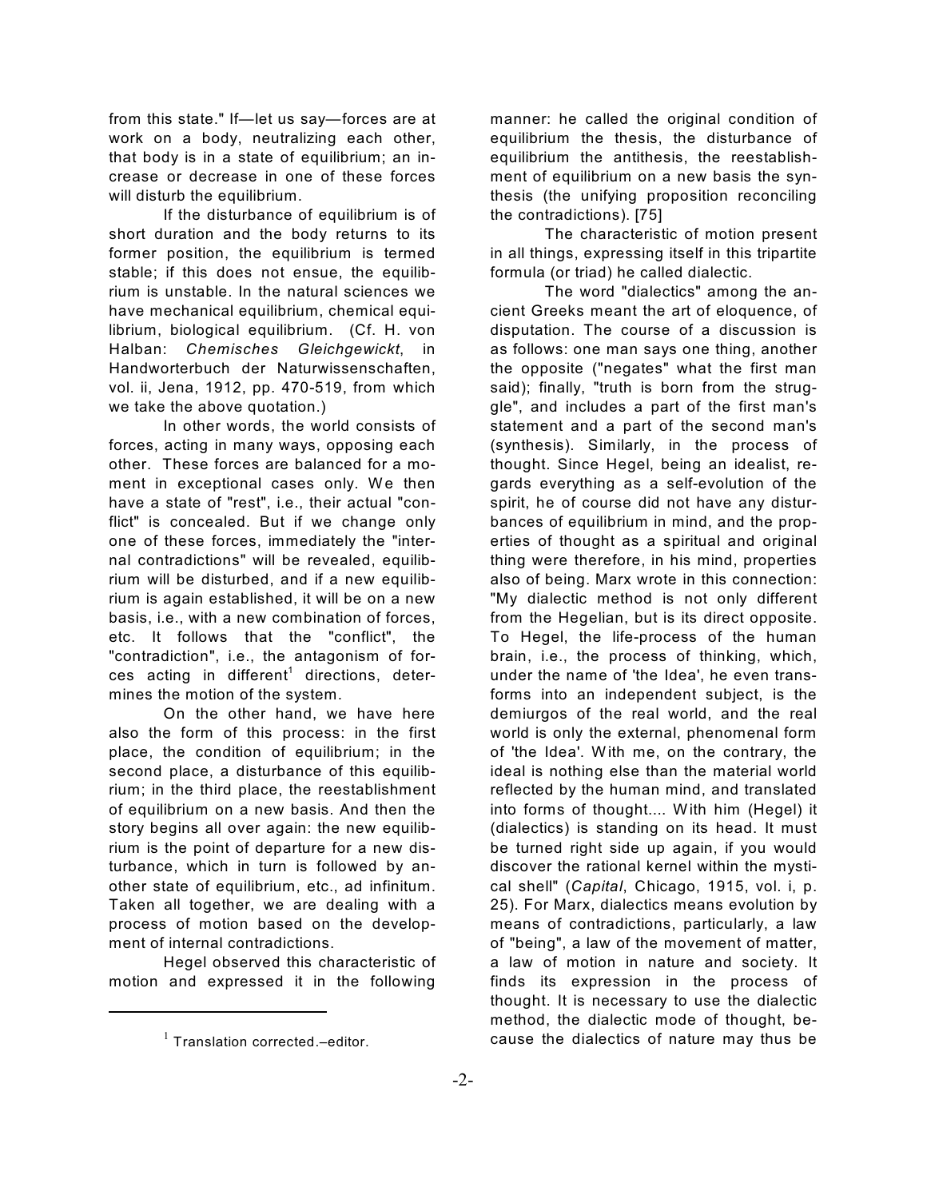from this state." If—let us say—forces are at work on a body, neutralizing each other, that body is in a state of equilibrium; an increase or decrease in one of these forces will disturb the equilibrium.

If the disturbance of equilibrium is of short duration and the body returns to its former position, the equilibrium is termed stable; if this does not ensue, the equilibrium is unstable. In the natural sciences we have mechanical equilibrium, chemical equilibrium, biological equilibrium. (Cf. H. von Halban: *Chemisches Gleichgewickt*, in Handworterbuch der Naturwissenschaften, vol. ii, Jena, 1912, pp. 470-519, from which we take the above quotation.)

In other words, the world consists of forces, acting in many ways, opposing each other. These forces are balanced for a moment in exceptional cases only. We then have a state of "rest", i.e., their actual "conflict" is concealed. But if we change only one of these forces, immediately the "internal contradictions" will be revealed, equilibrium will be disturbed, and if a new equilibrium is again established, it will be on a new basis, i.e., with a new combination of forces, etc. It follows that the "conflict", the "contradiction", i.e., the antagonism of forces acting in different<sup>1</sup> directions, determines the motion of the system.

On the other hand, we have here also the form of this process: in the first place, the condition of equilibrium; in the second place, a disturbance of this equilibrium; in the third place, the reestablishment of equilibrium on a new basis. And then the story begins all over again: the new equilibrium is the point of departure for a new disturbance, which in turn is followed by another state of equilibrium, etc., ad infinitum. Taken all together, we are dealing with a process of motion based on the development of internal contradictions.

Hegel observed this characteristic of motion and expressed it in the following

manner: he called the original condition of equilibrium the thesis, the disturbance of equilibrium the antithesis, the reestablishment of equilibrium on a new basis the synthesis (the unifying proposition reconciling the contradictions). [75]

The characteristic of motion present in all things, expressing itself in this tripartite formula (or triad) he called dialectic.

The word "dialectics" among the ancient Greeks meant the art of eloquence, of disputation. The course of a discussion is as follows: one man says one thing, another the opposite ("negates" what the first man said); finally, "truth is born from the struggle", and includes a part of the first man's statement and a part of the second man's (synthesis). Similarly, in the process of thought. Since Hegel, being an idealist, regards everything as a self-evolution of the spirit, he of course did not have any disturbances of equilibrium in mind, and the properties of thought as a spiritual and original thing were therefore, in his mind, properties also of being. Marx wrote in this connection: "My dialectic method is not only different from the Hegelian, but is its direct opposite. To Hegel, the life-process of the human brain, i.e., the process of thinking, which, under the name of 'the Idea', he even transforms into an independent subject, is the demiurgos of the real world, and the real world is only the external, phenomenal form of 'the Idea'. With me, on the contrary, the ideal is nothing else than the material world reflected by the human mind, and translated into forms of thought.... With him (Hegel) it (dialectics) is standing on its head. It must be turned right side up again, if you would discover the rational kernel within the mystical shell" (*Capital*, Chicago, 1915, vol. i, p. 25). For Marx, dialectics means evolution by means of contradictions, particularly, a law of "being", a law of the movement of matter, a law of motion in nature and society. It finds its expression in the process of thought. It is necessary to use the dialectic method, the dialectic mode of thought, be- $1$  Translation corrected.–editor. cause the dialectics of nature may thus be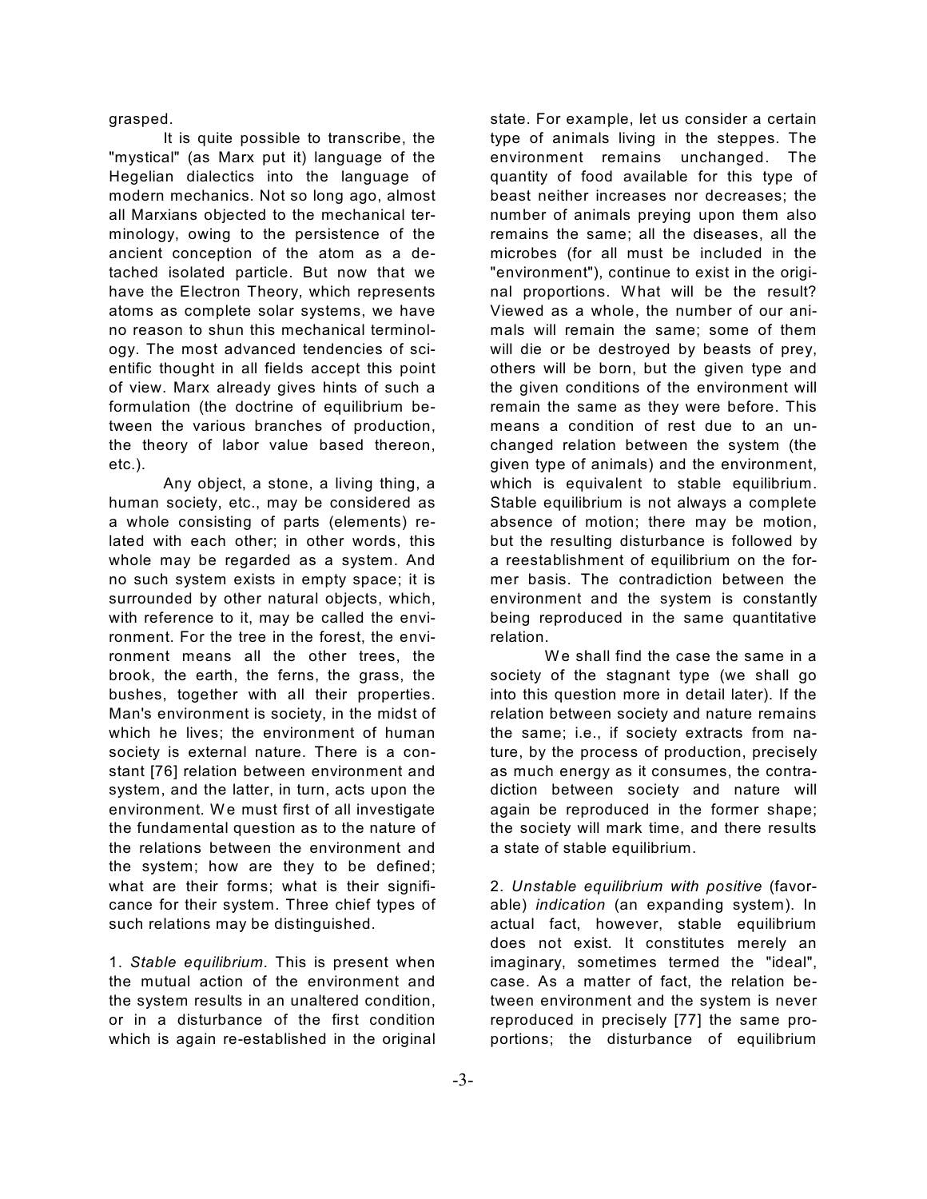grasped.

It is quite possible to transcribe, the "mystical" (as Marx put it) language of the Hegelian dialectics into the language of modern mechanics. Not so long ago, almost all Marxians objected to the mechanical terminology, owing to the persistence of the ancient conception of the atom as a detached isolated particle. But now that we have the Electron Theory, which represents atoms as complete solar systems, we have no reason to shun this mechanical terminology. The most advanced tendencies of scientific thought in all fields accept this point of view. Marx already gives hints of such a formulation (the doctrine of equilibrium between the various branches of production, the theory of labor value based thereon, etc.).

Any object, a stone, a living thing, a human society, etc., may be considered as a whole consisting of parts (elements) related with each other; in other words, this whole may be regarded as a system. And no such system exists in empty space; it is surrounded by other natural objects, which, with reference to it, may be called the environment. For the tree in the forest, the environment means all the other trees, the brook, the earth, the ferns, the grass, the bushes, together with all their properties. Man's environment is society, in the midst of which he lives; the environment of human society is external nature. There is a constant [76] relation between environment and system, and the latter, in turn, acts upon the environment. We must first of all investigate the fundamental question as to the nature of the relations between the environment and the system; how are they to be defined; what are their forms; what is their significance for their system. Three chief types of such relations may be distinguished.

1. *Stable equilibrium.* This is present when the mutual action of the environment and the system results in an unaltered condition, or in a disturbance of the first condition which is again re-established in the original state. For example, let us consider a certain type of animals living in the steppes. The environment remains unchanged. The quantity of food available for this type of beast neither increases nor decreases; the number of animals preying upon them also remains the same; all the diseases, all the microbes (for all must be included in the "environment"), continue to exist in the original proportions. What will be the result? Viewed as a whole, the number of our animals will remain the same; some of them will die or be destroyed by beasts of prey, others will be born, but the given type and the given conditions of the environment will remain the same as they were before. This means a condition of rest due to an unchanged relation between the system (the given type of animals) and the environment, which is equivalent to stable equilibrium. Stable equilibrium is not always a complete absence of motion; there may be motion, but the resulting disturbance is followed by a reestablishment of equilibrium on the former basis. The contradiction between the environment and the system is constantly being reproduced in the same quantitative relation.

We shall find the case the same in a society of the stagnant type (we shall go into this question more in detail later). If the relation between society and nature remains the same; i.e., if society extracts from nature, by the process of production, precisely as much energy as it consumes, the contradiction between society and nature will again be reproduced in the former shape; the society will mark time, and there results a state of stable equilibrium.

2. *Unstable equilibrium with positive* (favorable) *indication* (an expanding system). In actual fact, however, stable equilibrium does not exist. It constitutes merely an imaginary, sometimes termed the "ideal", case. As a matter of fact, the relation between environment and the system is never reproduced in precisely [77] the same proportions; the disturbance of equilibrium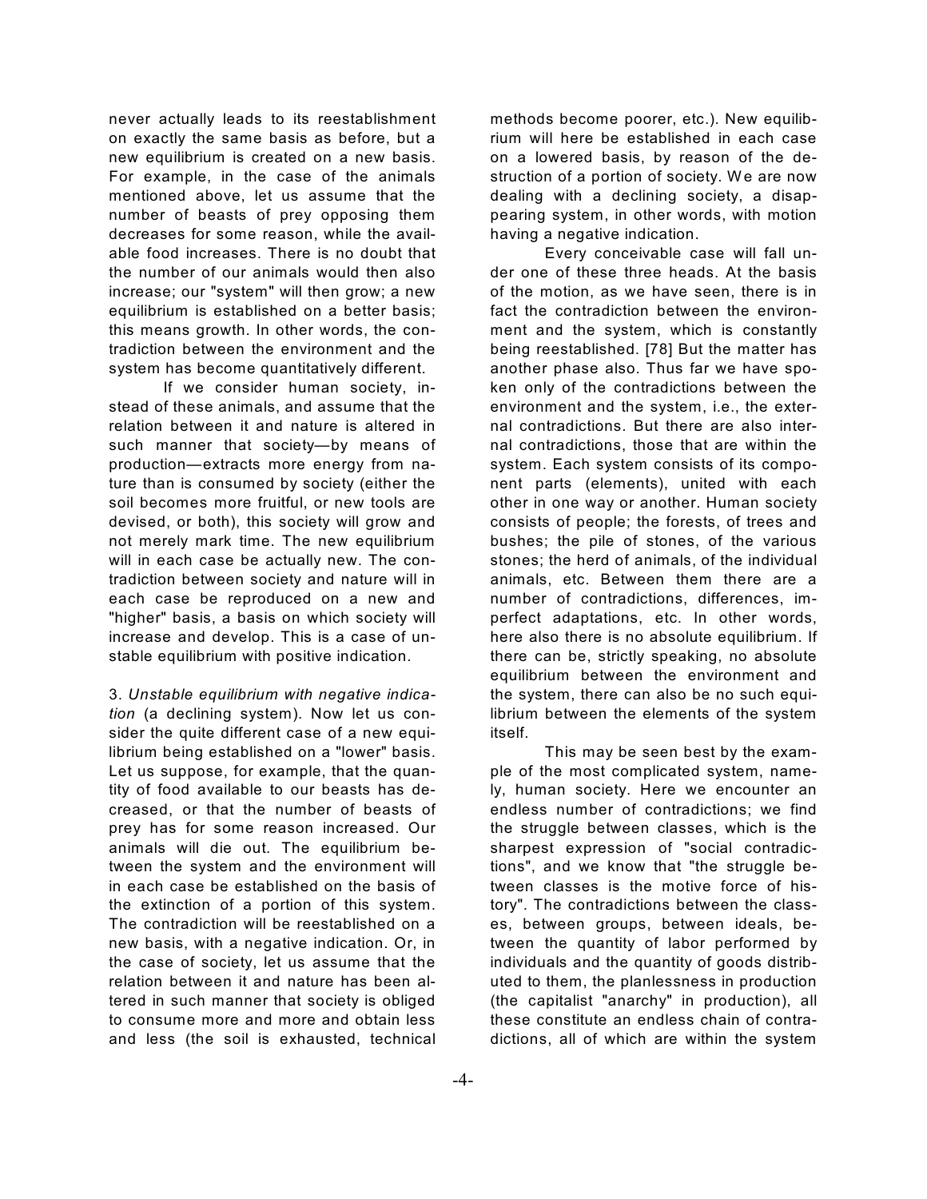never actually leads to its reestablishment on exactly the same basis as before, but a new equilibrium is created on a new basis. For example, in the case of the animals mentioned above, let us assume that the number of beasts of prey opposing them decreases for some reason, while the available food increases. There is no doubt that the number of our animals would then also increase; our "system" will then grow; a new equilibrium is established on a better basis; this means growth. In other words, the contradiction between the environment and the system has become quantitatively different.

If we consider human society, instead of these animals, and assume that the relation between it and nature is altered in such manner that society—by means of production—extracts more energy from nature than is consumed by society (either the soil becomes more fruitful, or new tools are devised, or both), this society will grow and not merely mark time. The new equilibrium will in each case be actually new. The contradiction between society and nature will in each case be reproduced on a new and "higher" basis, a basis on which society will increase and develop. This is a case of unstable equilibrium with positive indication.

3. *Unstable equilibrium with negative indication* (a declining system). Now let us consider the quite different case of a new equilibrium being established on a "lower" basis. Let us suppose, for example, that the quantity of food available to our beasts has decreased, or that the number of beasts of prey has for some reason increased. Our animals will die out. The equilibrium between the system and the environment will in each case be established on the basis of the extinction of a portion of this system. The contradiction will be reestablished on a new basis, with a negative indication. Or, in the case of society, let us assume that the relation between it and nature has been altered in such manner that society is obliged to consume more and more and obtain less and less (the soil is exhausted, technical

methods become poorer, etc.). New equilibrium will here be established in each case on a lowered basis, by reason of the destruction of a portion of society. We are now dealing with a declining society, a disappearing system, in other words, with motion having a negative indication.

Every conceivable case will fall under one of these three heads. At the basis of the motion, as we have seen, there is in fact the contradiction between the environment and the system, which is constantly being reestablished. [78] But the matter has another phase also. Thus far we have spoken only of the contradictions between the environment and the system, i.e., the external contradictions. But there are also internal contradictions, those that are within the system. Each system consists of its component parts (elements), united with each other in one way or another. Human society consists of people; the forests, of trees and bushes; the pile of stones, of the various stones; the herd of animals, of the individual animals, etc. Between them there are a number of contradictions, differences, imperfect adaptations, etc. In other words, here also there is no absolute equilibrium. If there can be, strictly speaking, no absolute equilibrium between the environment and the system, there can also be no such equilibrium between the elements of the system itself.

This may be seen best by the example of the most complicated system, namely, human society. Here we encounter an endless number of contradictions; we find the struggle between classes, which is the sharpest expression of "social contradictions", and we know that "the struggle between classes is the motive force of history". The contradictions between the classes, between groups, between ideals, between the quantity of labor performed by individuals and the quantity of goods distributed to them, the planlessness in production (the capitalist "anarchy" in production), all these constitute an endless chain of contradictions, all of which are within the system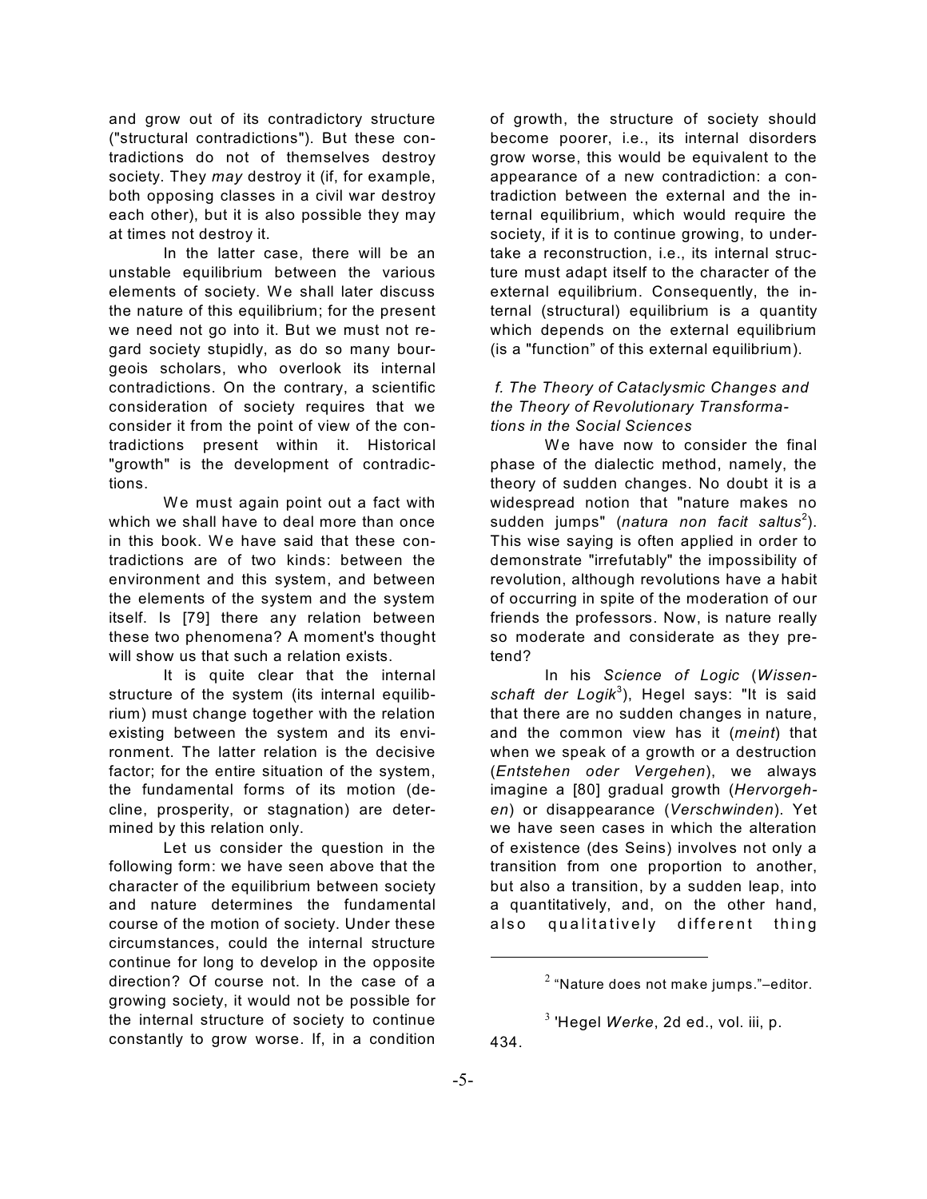and grow out of its contradictory structure ("structural contradictions"). But these contradictions do not of themselves destroy society. They *may* destroy it (if, for example, both opposing classes in a civil war destroy each other), but it is also possible they may at times not destroy it.

In the latter case, there will be an unstable equilibrium between the various elements of society. We shall later discuss the nature of this equilibrium; for the present we need not go into it. But we must not regard society stupidly, as do so many bourgeois scholars, who overlook its internal contradictions. On the contrary, a scientific consideration of society requires that we consider it from the point of view of the contradictions present within it. Historical "growth" is the development of contradictions.

We must again point out a fact with which we shall have to deal more than once in this book. We have said that these contradictions are of two kinds: between the environment and this system, and between the elements of the system and the system itself. Is [79] there any relation between these two phenomena? A moment's thought will show us that such a relation exists.

It is quite clear that the internal structure of the system (its internal equilibrium) must change together with the relation existing between the system and its environment. The latter relation is the decisive factor; for the entire situation of the system, the fundamental forms of its motion (decline, prosperity, or stagnation) are determined by this relation only.

Let us consider the question in the following form: we have seen above that the character of the equilibrium between society and nature determines the fundamental course of the motion of society. Under these circumstances, could the internal structure continue for long to develop in the opposite direction? Of course not. In the case of a growing society, it would not be possible for the internal structure of society to continue constantly to grow worse. If, in a condition

of growth, the structure of society should become poorer, i.e., its internal disorders grow worse, this would be equivalent to the appearance of a new contradiction: a contradiction between the external and the internal equilibrium, which would require the society, if it is to continue growing, to undertake a reconstruction, i.e., its internal structure must adapt itself to the character of the external equilibrium. Consequently, the internal (structural) equilibrium is a quantity which depends on the external equilibrium (is a "function" of this external equilibrium).

#### *f. The Theory of Cataclysmic Changes and the Theory of Revolutionary Transformations in the Social Sciences*

We have now to consider the final phase of the dialectic method, namely, the theory of sudden changes. No doubt it is a widespread notion that "nature makes no sudden jumps" (*natura non facit saltus*<sup>2</sup>). This wise saying is often applied in order to demonstrate "irrefutably" the impossibility of revolution, although revolutions have a habit of occurring in spite of the moderation of our friends the professors. Now, is nature really so moderate and considerate as they pretend?

In his *Science of Logic* (*Wissen*schaft der Logik<sup>3</sup>), Hegel says: "It is said that there are no sudden changes in nature, and the common view has it (*meint*) that when we speak of a growth or a destruction (*Entstehen oder Vergehen*), we always imagine a [80] gradual growth (*Hervorgehen*) or disappearance (*Verschwinden*). Yet we have seen cases in which the alteration of existence (des Seins) involves not only a transition from one proportion to another, but also a transition, by a sudden leap, into a quantitatively, and, on the other hand, also qualitatively different thing

434.

 $^{\rm 2}$  "Nature does not make jumps."—editor.

 $^3$  'Hegel *Werke*, 2d ed., vol. iii, p.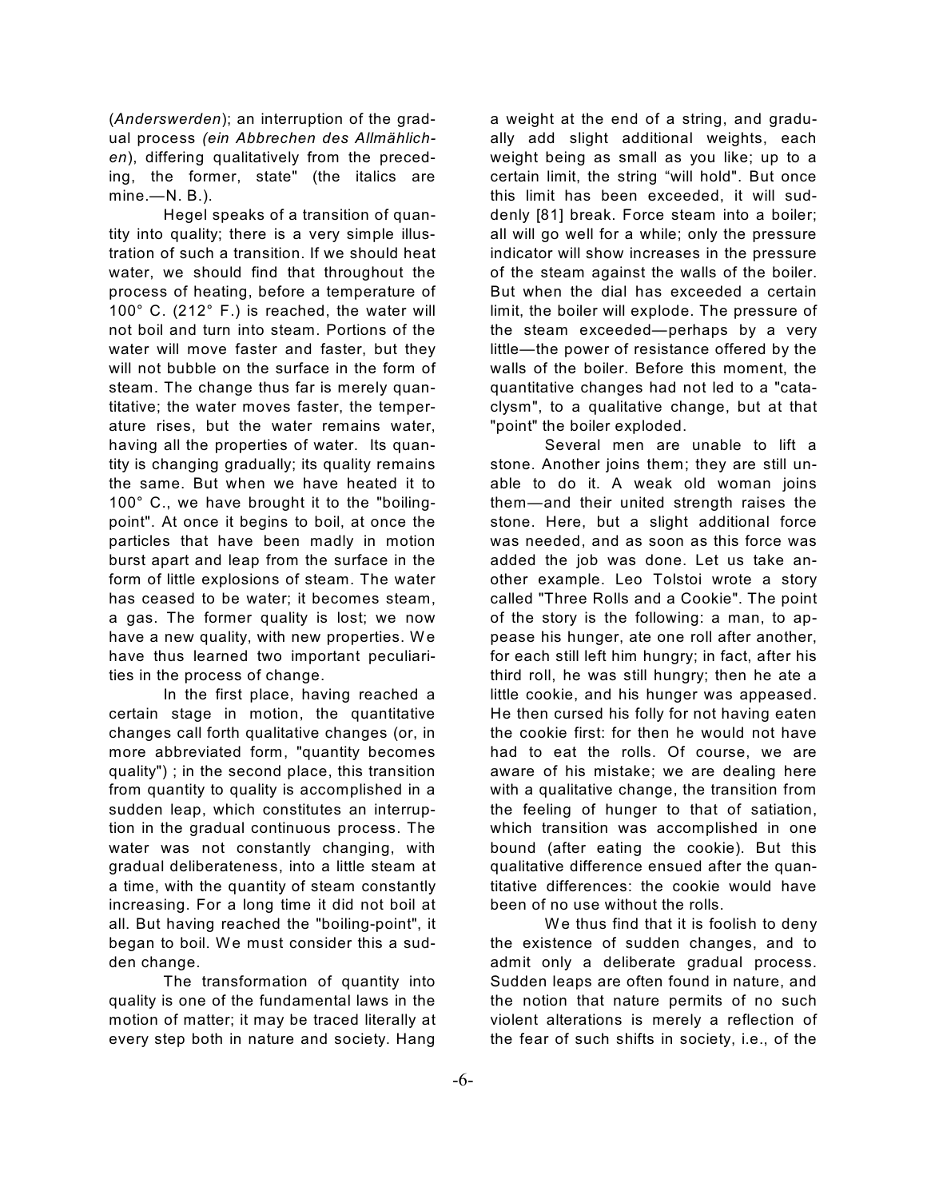(*Anderswerden*); an interruption of the gradual process *(ein Abbrechen des Allmählichen*), differing qualitatively from the preceding, the former, state" (the italics are mine.—N. B.).

Hegel speaks of a transition of quantity into quality; there is a very simple illustration of such a transition. If we should heat water, we should find that throughout the process of heating, before a temperature of 100° C. (212° F.) is reached, the water will not boil and turn into steam. Portions of the water will move faster and faster, but they will not bubble on the surface in the form of steam. The change thus far is merely quantitative; the water moves faster, the temperature rises, but the water remains water, having all the properties of water. Its quantity is changing gradually; its quality remains the same. But when we have heated it to 100° C., we have brought it to the "boilingpoint". At once it begins to boil, at once the particles that have been madly in motion burst apart and leap from the surface in the form of little explosions of steam. The water has ceased to be water; it becomes steam, a gas. The former quality is lost; we now have a new quality, with new properties. We have thus learned two important peculiarities in the process of change.

In the first place, having reached a certain stage in motion, the quantitative changes call forth qualitative changes (or, in more abbreviated form, "quantity becomes quality") ; in the second place, this transition from quantity to quality is accomplished in a sudden leap, which constitutes an interruption in the gradual continuous process. The water was not constantly changing, with gradual deliberateness, into a little steam at a time, with the quantity of steam constantly increasing. For a long time it did not boil at all. But having reached the "boiling-point", it began to boil. We must consider this a sudden change.

The transformation of quantity into quality is one of the fundamental laws in the motion of matter; it may be traced literally at every step both in nature and society. Hang

a weight at the end of a string, and gradually add slight additional weights, each weight being as small as you like; up to a certain limit, the string "will hold". But once this limit has been exceeded, it will suddenly [81] break. Force steam into a boiler; all will go well for a while; only the pressure indicator will show increases in the pressure of the steam against the walls of the boiler. But when the dial has exceeded a certain limit, the boiler will explode. The pressure of the steam exceeded—perhaps by a very little—the power of resistance offered by the walls of the boiler. Before this moment, the quantitative changes had not led to a "cataclysm", to a qualitative change, but at that "point" the boiler exploded.

Several men are unable to lift a stone. Another joins them; they are still unable to do it. A weak old woman joins them—and their united strength raises the stone. Here, but a slight additional force was needed, and as soon as this force was added the job was done. Let us take another example. Leo Tolstoi wrote a story called "Three Rolls and a Cookie". The point of the story is the following: a man, to appease his hunger, ate one roll after another, for each still left him hungry; in fact, after his third roll, he was still hungry; then he ate a little cookie, and his hunger was appeased. He then cursed his folly for not having eaten the cookie first: for then he would not have had to eat the rolls. Of course, we are aware of his mistake; we are dealing here with a qualitative change, the transition from the feeling of hunger to that of satiation, which transition was accomplished in one bound (after eating the cookie). But this qualitative difference ensued after the quantitative differences: the cookie would have been of no use without the rolls.

We thus find that it is foolish to deny the existence of sudden changes, and to admit only a deliberate gradual process. Sudden leaps are often found in nature, and the notion that nature permits of no such violent alterations is merely a reflection of the fear of such shifts in society, i.e., of the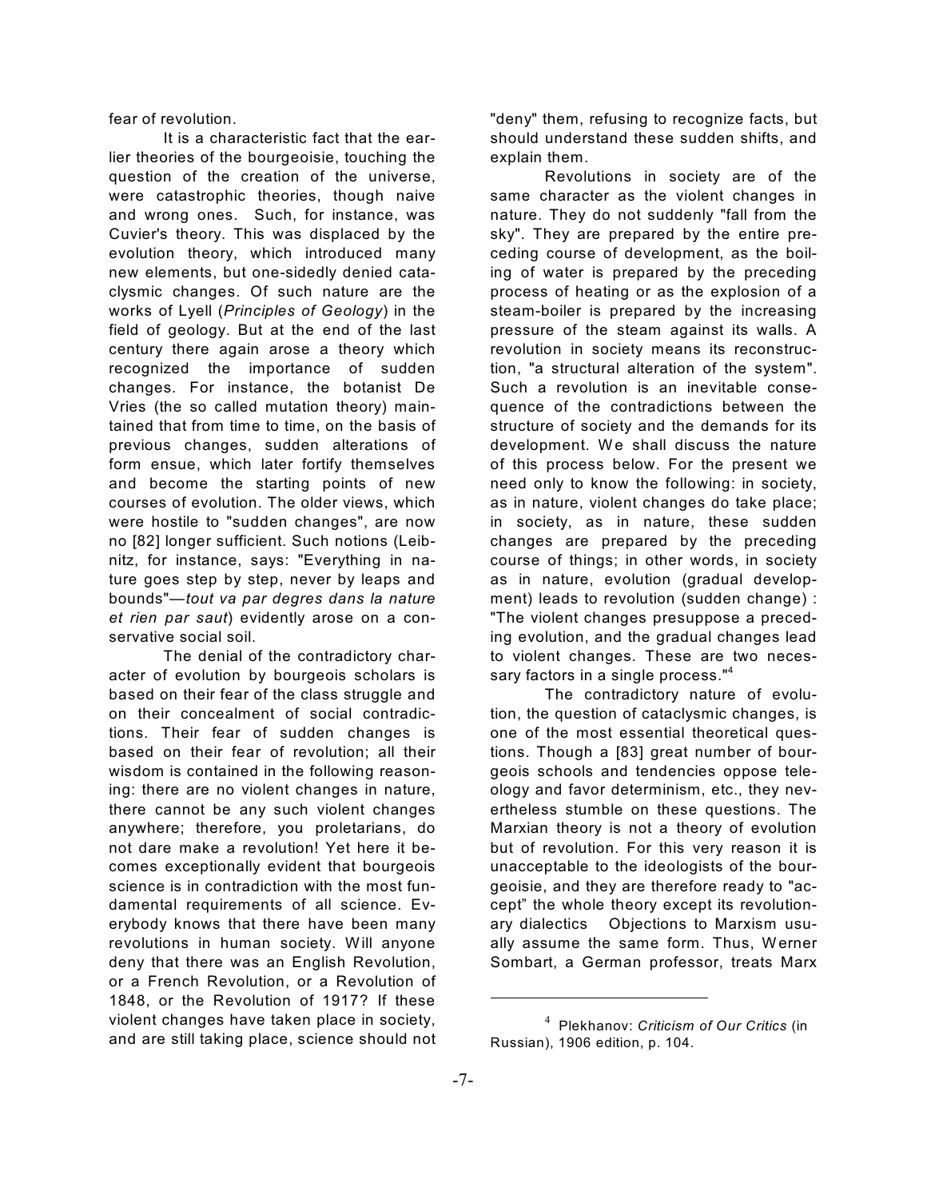fear of revolution.

It is a characteristic fact that the earlier theories of the bourgeoisie, touching the question of the creation of the universe, were catastrophic theories, though naive and wrong ones. Such, for instance, was Cuvier's theory. This was displaced by the evolution theory, which introduced many new elements, but one-sidedly denied cataclysmic changes. Of such nature are the works of Lyell (*Principles of Geology*) in the field of geology. But at the end of the last century there again arose a theory which recognized the importance of sudden changes. For instance, the botanist De Vries (the so called mutation theory) maintained that from time to time, on the basis of previous changes, sudden alterations of form ensue, which later fortify themselves and become the starting points of new courses of evolution. The older views, which were hostile to "sudden changes", are now no [82] longer sufficient. Such notions (Leibnitz, for instance, says: "Everything in nature goes step by step, never by leaps and bounds"*—tout va par degres dans la nature et rien par saut*) evidently arose on a conservative social soil.

The denial of the contradictory character of evolution by bourgeois scholars is based on their fear of the class struggle and on their concealment of social contradictions. Their fear of sudden changes is based on their fear of revolution; all their wisdom is contained in the following reasoning: there are no violent changes in nature, there cannot be any such violent changes anywhere; therefore, you proletarians, do not dare make a revolution! Yet here it becomes exceptionally evident that bourgeois science is in contradiction with the most fundamental requirements of all science. Everybody knows that there have been many revolutions in human society. Will anyone deny that there was an English Revolution, or a French Revolution, or a Revolution of 1848, or the Revolution of 1917? If these violent changes have taken place in society, and are still taking place, science should not

"deny" them, refusing to recognize facts, but should understand these sudden shifts, and explain them.

Revolutions in society are of the same character as the violent changes in nature. They do not suddenly "fall from the sky". They are prepared by the entire preceding course of development, as the boiling of water is prepared by the preceding process of heating or as the explosion of a steam-boiler is prepared by the increasing pressure of the steam against its walls. A revolution in society means its reconstruction, "a structural alteration of the system". Such a revolution is an inevitable consequence of the contradictions between the structure of society and the demands for its development. We shall discuss the nature of this process below. For the present we need only to know the following: in society, as in nature, violent changes do take place; in society, as in nature, these sudden changes are prepared by the preceding course of things; in other words, in society as in nature, evolution (gradual development) leads to revolution (sudden change) : "The violent changes presuppose a preceding evolution, and the gradual changes lead to violent changes. These are two necessary factors in a single process."<sup>4</sup>

The contradictory nature of evolution, the question of cataclysmic changes, is one of the most essential theoretical questions. Though a [83] great number of bourgeois schools and tendencies oppose teleology and favor determinism, etc., they nevertheless stumble on these questions. The Marxian theory is not a theory of evolution but of revolution. For this very reason it is unacceptable to the ideologists of the bourgeoisie, and they are therefore ready to "accept" the whole theory except its revolutionary dialectics Objections to Marxism usually assume the same form. Thus, Werner Sombart, a German professor, treats Marx

Plekhanov: *Criticism of Our Critics* (in <sup>4</sup> Russian), 1906 edition, p. 104.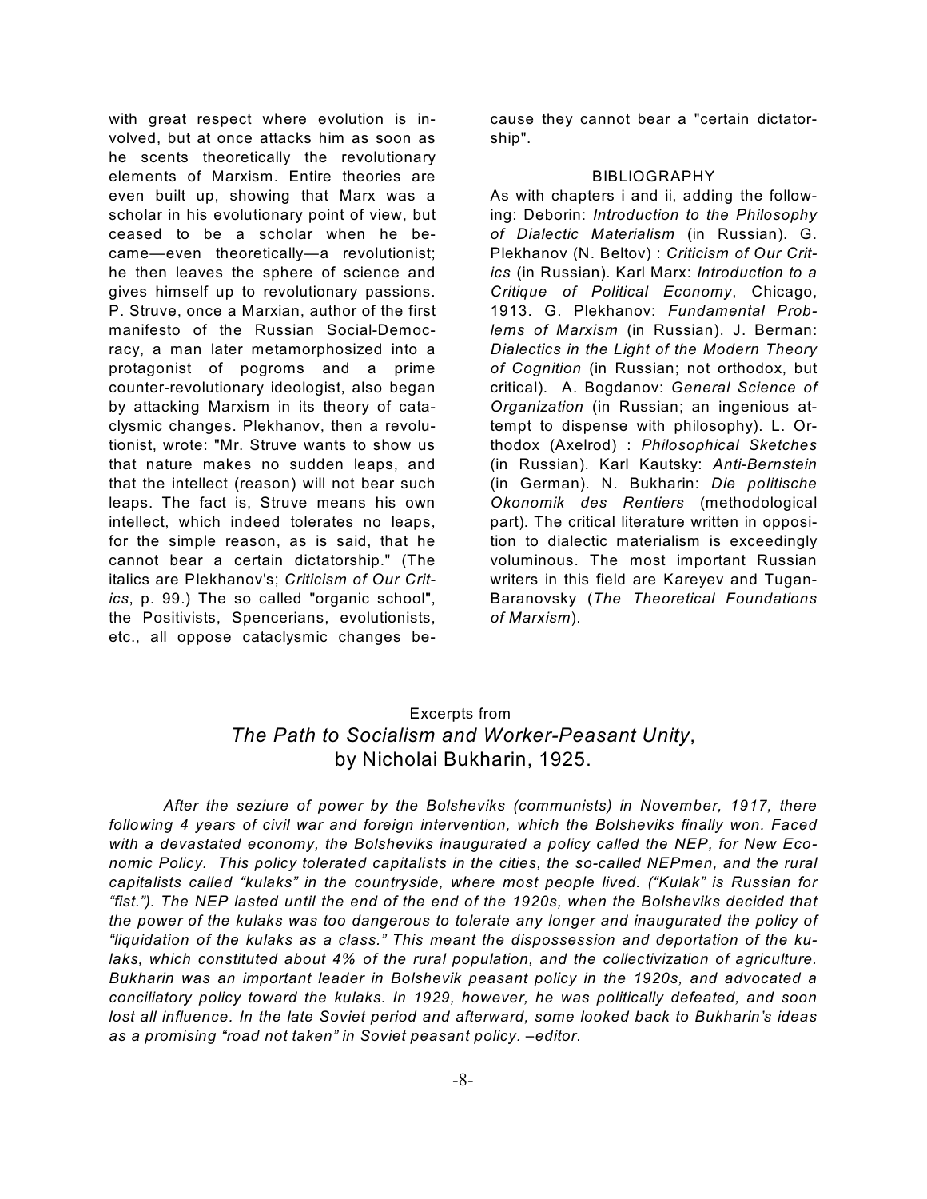with great respect where evolution is involved, but at once attacks him as soon as he scents theoretically the revolutionary elements of Marxism. Entire theories are even built up, showing that Marx was a scholar in his evolutionary point of view, but ceased to be a scholar when he became—even theoretically—a revolutionist; he then leaves the sphere of science and gives himself up to revolutionary passions. P. Struve, once a Marxian, author of the first manifesto of the Russian Social-Democracy, a man later metamorphosized into a protagonist of pogroms and a prime counter-revolutionary ideologist, also began by attacking Marxism in its theory of cataclysmic changes. Plekhanov, then a revolutionist, wrote: "Mr. Struve wants to show us that nature makes no sudden leaps, and that the intellect (reason) will not bear such leaps. The fact is, Struve means his own intellect, which indeed tolerates no leaps, for the simple reason, as is said, that he cannot bear a certain dictatorship." (The italics are Plekhanov's; *Criticism of Our Critics*, p. 99.) The so called "organic school", the Positivists, Spencerians, evolutionists, etc., all oppose cataclysmic changes because they cannot bear a "certain dictatorship".

#### BIBLIOGRAPHY

As with chapters i and ii, adding the following: Deborin: *Introduction to the Philosophy of Dialectic Materialism* (in Russian). G. Plekhanov (N. Beltov) : *Criticism of Our Critics* (in Russian). Karl Marx: *Introduction to a Critique of Political Economy*, Chicago, 1913. G. Plekhanov: *Fundamental Problems of Marxism* (in Russian). J. Berman: *Dialectics in the Light of the Modern Theory of Cognition* (in Russian; not orthodox, but critical). A. Bogdanov: *General Science of Organization* (in Russian; an ingenious attempt to dispense with philosophy). L. Orthodox (Axelrod) : *Philosophical Sketches* (in Russian). Karl Kautsky: *Anti-Bernstein* (in German). N. Bukharin: *Die politische Okonomik des Rentiers* (methodological part). The critical literature written in opposition to dialectic materialism is exceedingly voluminous. The most important Russian writers in this field are Kareyev and Tugan-Baranovsky (*The Theoretical Foundations of Marxism*).

## Excerpts from *The Path to Socialism and Worker-Peasant Unity*, by Nicholai Bukharin, 1925.

*After the seziure of power by the Bolsheviks (communists) in November, 1917, there following 4 years of civil war and foreign intervention, which the Bolsheviks finally won. Faced with a devastated economy, the Bolsheviks inaugurated a policy called the NEP, for New Economic Policy. This policy tolerated capitalists in the cities, the so-called NEPmen, and the rural capitalists called "kulaks" in the countryside, where most people lived. ("Kulak" is Russian for "fist."). The NEP lasted until the end of the end of the 1920s, when the Bolsheviks decided that the power of the kulaks was too dangerous to tolerate any longer and inaugurated the policy of "liquidation of the kulaks as a class." This meant the dispossession and deportation of the kulaks, which constituted about 4% of the rural population, and the collectivization of agriculture. Bukharin was an important leader in Bolshevik peasant policy in the 1920s, and advocated a conciliatory policy toward the kulaks. In 1929, however, he was politically defeated, and soon lost all influence. In the late Soviet period and afterward, some looked back to Bukharin's ideas as a promising "road not taken" in Soviet peasant policy. –editor*.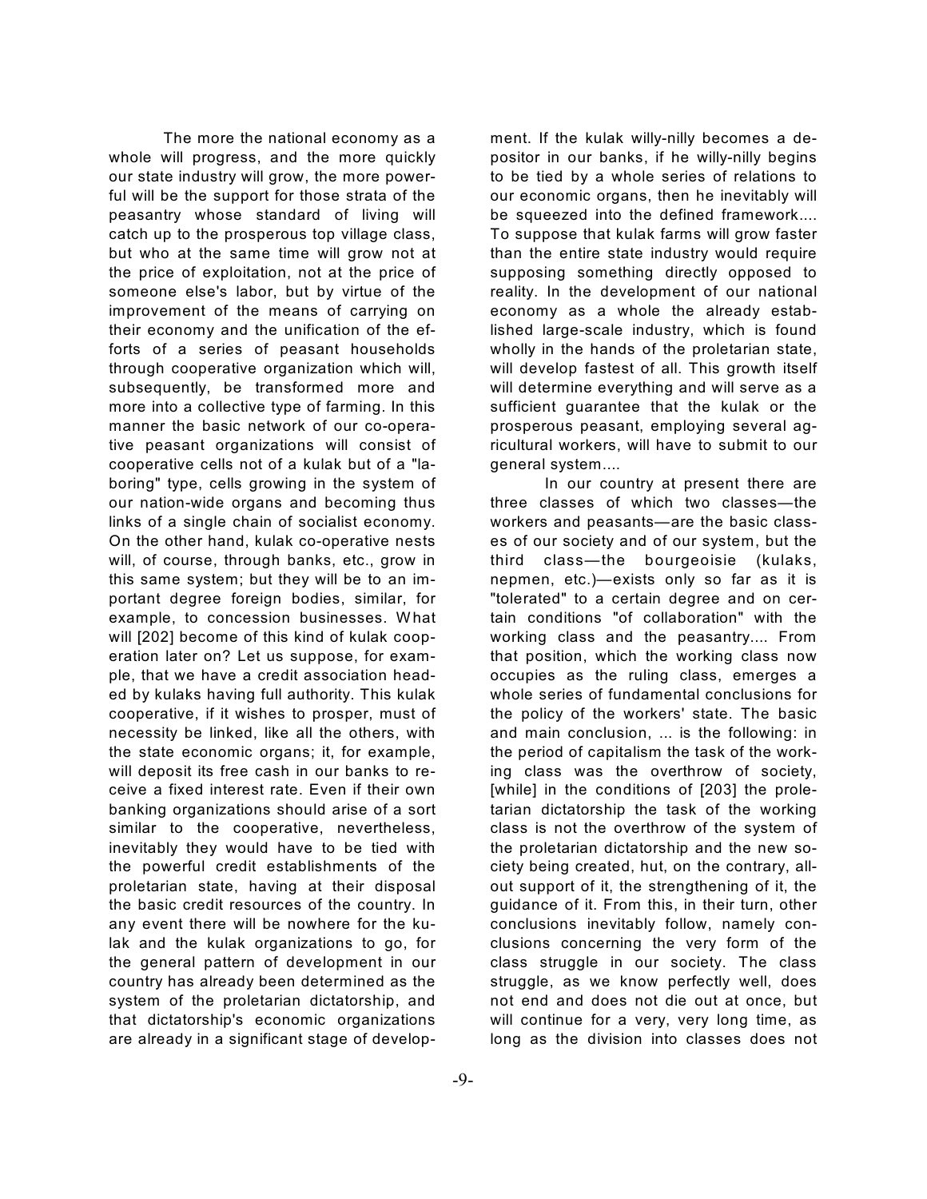The more the national economy as a whole will progress, and the more quickly our state industry will grow, the more powerful will be the support for those strata of the peasantry whose standard of living will catch up to the prosperous top village class, but who at the same time will grow not at the price of exploitation, not at the price of someone else's labor, but by virtue of the improvement of the means of carrying on their economy and the unification of the efforts of a series of peasant households through cooperative organization which will, subsequently, be transformed more and more into a collective type of farming. In this manner the basic network of our co-operative peasant organizations will consist of cooperative cells not of a kulak but of a "laboring" type, cells growing in the system of our nation-wide organs and becoming thus links of a single chain of socialist economy. On the other hand, kulak co-operative nests will, of course, through banks, etc., grow in this same system; but they will be to an important degree foreign bodies, similar, for example, to concession businesses. What will [202] become of this kind of kulak cooperation later on? Let us suppose, for example, that we have a credit association headed by kulaks having full authority. This kulak cooperative, if it wishes to prosper, must of necessity be linked, like all the others, with the state economic organs; it, for example, will deposit its free cash in our banks to receive a fixed interest rate. Even if their own banking organizations should arise of a sort similar to the cooperative, nevertheless, inevitably they would have to be tied with the powerful credit establishments of the proletarian state, having at their disposal the basic credit resources of the country. In any event there will be nowhere for the kulak and the kulak organizations to go, for the general pattern of development in our country has already been determined as the system of the proletarian dictatorship, and that dictatorship's economic organizations are already in a significant stage of development. If the kulak willy-nilly becomes a depositor in our banks, if he willy-nilly begins to be tied by a whole series of relations to our economic organs, then he inevitably will be squeezed into the defined framework.... To suppose that kulak farms will grow faster than the entire state industry would require supposing something directly opposed to reality. In the development of our national economy as a whole the already established large-scale industry, which is found wholly in the hands of the proletarian state, will develop fastest of all. This growth itself will determine everything and will serve as a sufficient guarantee that the kulak or the prosperous peasant, employing several agricultural workers, will have to submit to our general system....

In our country at present there are three classes of which two classes—the workers and peasants—are the basic classes of our society and of our system, but the third class—the bourgeoisie (kulaks, nepmen, etc.)—exists only so far as it is "tolerated" to a certain degree and on certain conditions "of collaboration" with the working class and the peasantry.... From that position, which the working class now occupies as the ruling class, emerges a whole series of fundamental conclusions for the policy of the workers' state. The basic and main conclusion, ... is the following: in the period of capitalism the task of the working class was the overthrow of society, [while] in the conditions of [203] the proletarian dictatorship the task of the working class is not the overthrow of the system of the proletarian dictatorship and the new society being created, hut, on the contrary, allout support of it, the strengthening of it, the guidance of it. From this, in their turn, other conclusions inevitably follow, namely conclusions concerning the very form of the class struggle in our society. The class struggle, as we know perfectly well, does not end and does not die out at once, but will continue for a very, very long time, as long as the division into classes does not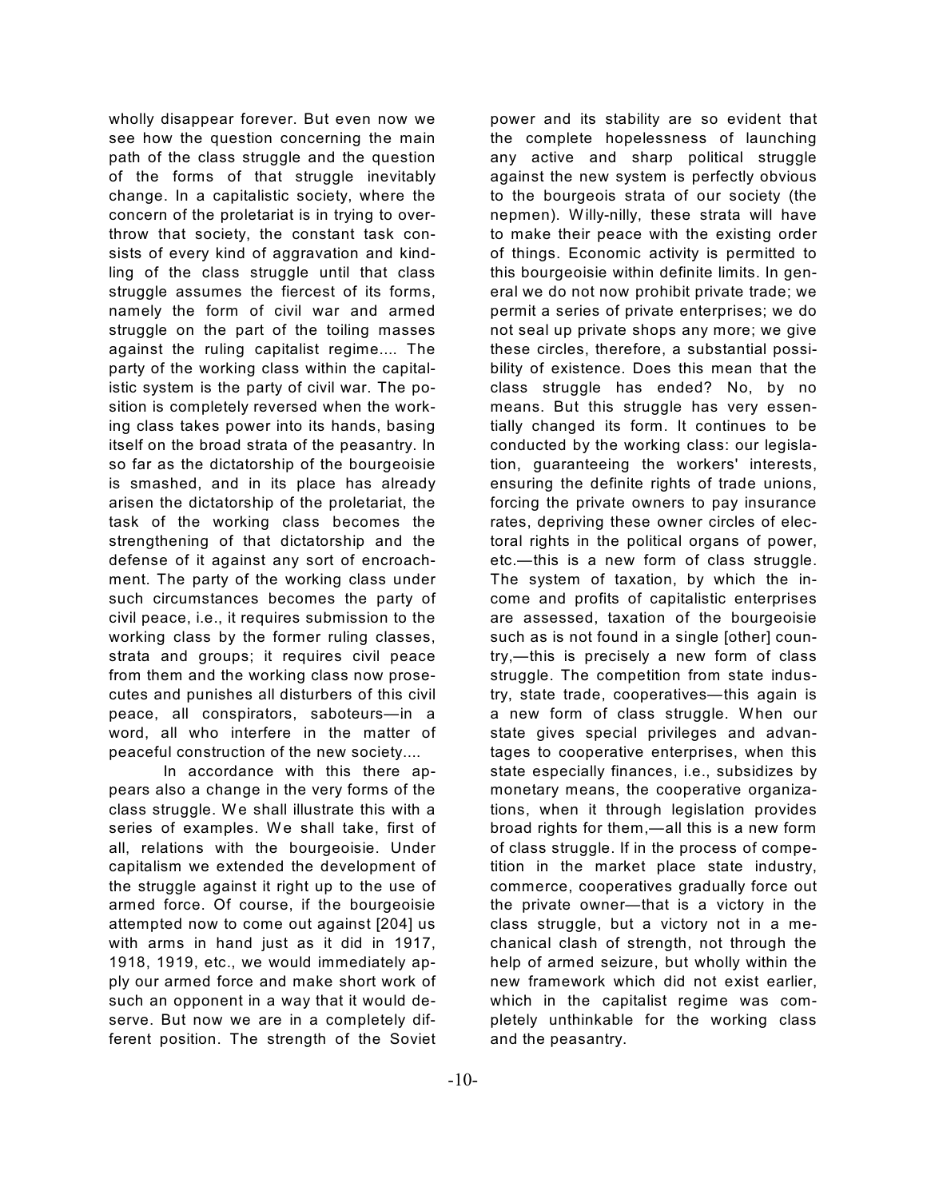wholly disappear forever. But even now we see how the question concerning the main path of the class struggle and the question of the forms of that struggle inevitably change. In a capitalistic society, where the concern of the proletariat is in trying to overthrow that society, the constant task consists of every kind of aggravation and kindling of the class struggle until that class struggle assumes the fiercest of its forms, namely the form of civil war and armed struggle on the part of the toiling masses against the ruling capitalist regime.... The party of the working class within the capitalistic system is the party of civil war. The position is completely reversed when the working class takes power into its hands, basing itself on the broad strata of the peasantry. In so far as the dictatorship of the bourgeoisie is smashed, and in its place has already arisen the dictatorship of the proletariat, the task of the working class becomes the strengthening of that dictatorship and the defense of it against any sort of encroachment. The party of the working class under such circumstances becomes the party of civil peace, i.e., it requires submission to the working class by the former ruling classes, strata and groups; it requires civil peace from them and the working class now prosecutes and punishes all disturbers of this civil peace, all conspirators, saboteurs—in a word, all who interfere in the matter of peaceful construction of the new society....

In accordance with this there appears also a change in the very forms of the class struggle. We shall illustrate this with a series of examples. We shall take, first of all, relations with the bourgeoisie. Under capitalism we extended the development of the struggle against it right up to the use of armed force. Of course, if the bourgeoisie attempted now to come out against [204] us with arms in hand just as it did in 1917, 1918, 1919, etc., we would immediately apply our armed force and make short work of such an opponent in a way that it would deserve. But now we are in a completely different position. The strength of the Soviet

power and its stability are so evident that the complete hopelessness of launching any active and sharp political struggle against the new system is perfectly obvious to the bourgeois strata of our society (the nepmen). Willy-nilly, these strata will have to make their peace with the existing order of things. Economic activity is permitted to this bourgeoisie within definite limits. In general we do not now prohibit private trade; we permit a series of private enterprises; we do not seal up private shops any more; we give these circles, therefore, a substantial possibility of existence. Does this mean that the class struggle has ended? No, by no means. But this struggle has very essentially changed its form. It continues to be conducted by the working class: our legislation, guaranteeing the workers' interests, ensuring the definite rights of trade unions, forcing the private owners to pay insurance rates, depriving these owner circles of electoral rights in the political organs of power, etc.—this is a new form of class struggle. The system of taxation, by which the income and profits of capitalistic enterprises are assessed, taxation of the bourgeoisie such as is not found in a single [other] country,—this is precisely a new form of class struggle. The competition from state industry, state trade, cooperatives—this again is a new form of class struggle. When our state gives special privileges and advantages to cooperative enterprises, when this state especially finances, i.e., subsidizes by monetary means, the cooperative organizations, when it through legislation provides broad rights for them,—all this is a new form of class struggle. If in the process of competition in the market place state industry, commerce, cooperatives gradually force out the private owner—that is a victory in the class struggle, but a victory not in a mechanical clash of strength, not through the help of armed seizure, but wholly within the new framework which did not exist earlier, which in the capitalist regime was completely unthinkable for the working class and the peasantry.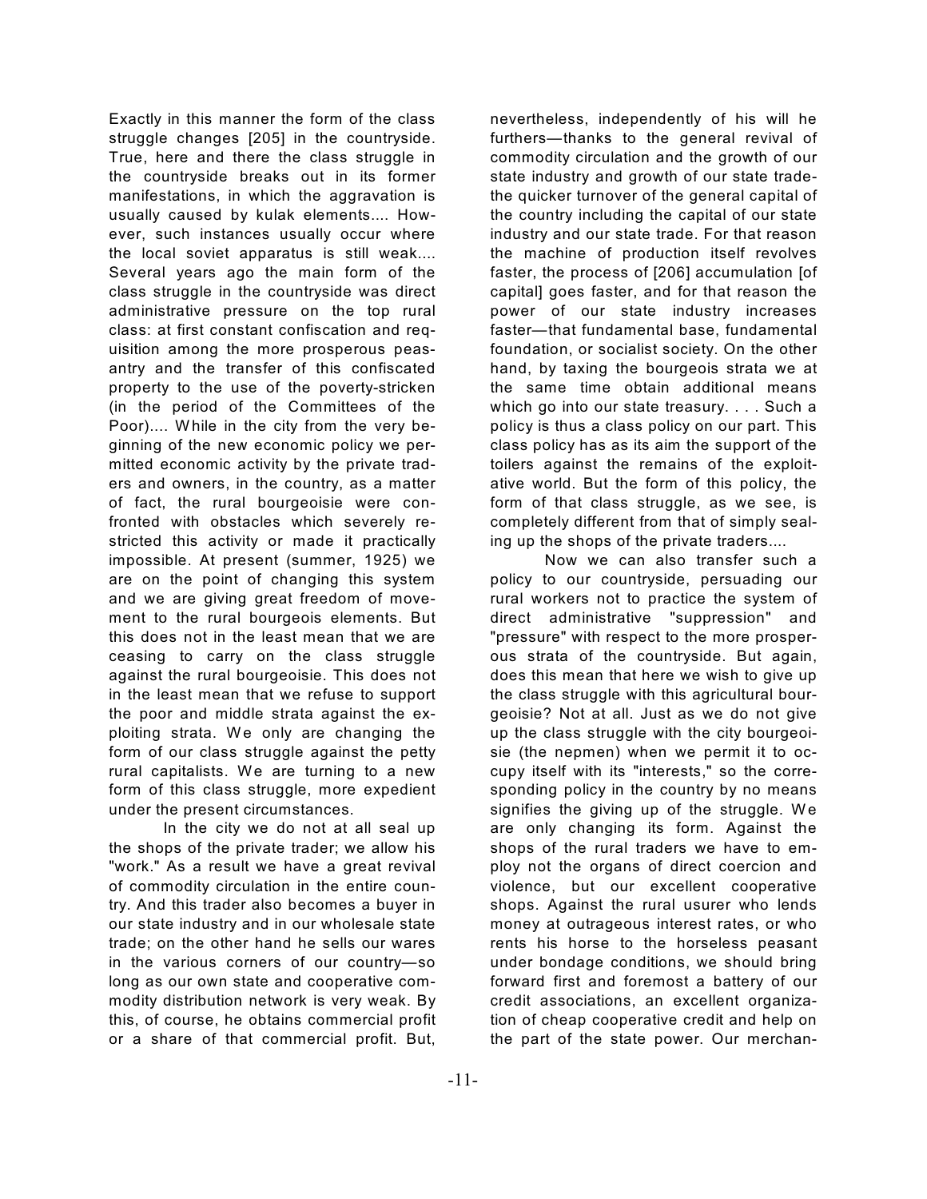Exactly in this manner the form of the class struggle changes [205] in the countryside. True, here and there the class struggle in the countryside breaks out in its former manifestations, in which the aggravation is usually caused by kulak elements.... However, such instances usually occur where the local soviet apparatus is still weak.... Several years ago the main form of the class struggle in the countryside was direct administrative pressure on the top rural class: at first constant confiscation and requisition among the more prosperous peasantry and the transfer of this confiscated property to the use of the poverty-stricken (in the period of the Committees of the Poor).... While in the city from the very beginning of the new economic policy we permitted economic activity by the private traders and owners, in the country, as a matter of fact, the rural bourgeoisie were confronted with obstacles which severely restricted this activity or made it practically impossible. At present (summer, 1925) we are on the point of changing this system and we are giving great freedom of movement to the rural bourgeois elements. But this does not in the least mean that we are ceasing to carry on the class struggle against the rural bourgeoisie. This does not in the least mean that we refuse to support the poor and middle strata against the exploiting strata. We only are changing the form of our class struggle against the petty rural capitalists. We are turning to a new form of this class struggle, more expedient under the present circumstances.

In the city we do not at all seal up the shops of the private trader; we allow his "work." As a result we have a great revival of commodity circulation in the entire country. And this trader also becomes a buyer in our state industry and in our wholesale state trade; on the other hand he sells our wares in the various corners of our country—so long as our own state and cooperative commodity distribution network is very weak. By this, of course, he obtains commercial profit or a share of that commercial profit. But,

nevertheless, independently of his will he furthers—thanks to the general revival of commodity circulation and the growth of our state industry and growth of our state tradethe quicker turnover of the general capital of the country including the capital of our state industry and our state trade. For that reason the machine of production itself revolves faster, the process of [206] accumulation [of capital] goes faster, and for that reason the power of our state industry increases faster—that fundamental base, fundamental foundation, or socialist society. On the other hand, by taxing the bourgeois strata we at the same time obtain additional means which go into our state treasury. . . . Such a policy is thus a class policy on our part. This class policy has as its aim the support of the toilers against the remains of the exploitative world. But the form of this policy, the form of that class struggle, as we see, is completely different from that of simply sealing up the shops of the private traders....

Now we can also transfer such a policy to our countryside, persuading our rural workers not to practice the system of direct administrative "suppression" and "pressure" with respect to the more prosperous strata of the countryside. But again, does this mean that here we wish to give up the class struggle with this agricultural bourgeoisie? Not at all. Just as we do not give up the class struggle with the city bourgeoisie (the nepmen) when we permit it to occupy itself with its "interests," so the corresponding policy in the country by no means signifies the giving up of the struggle. We are only changing its form. Against the shops of the rural traders we have to employ not the organs of direct coercion and violence, but our excellent cooperative shops. Against the rural usurer who lends money at outrageous interest rates, or who rents his horse to the horseless peasant under bondage conditions, we should bring forward first and foremost a battery of our credit associations, an excellent organization of cheap cooperative credit and help on the part of the state power. Our merchan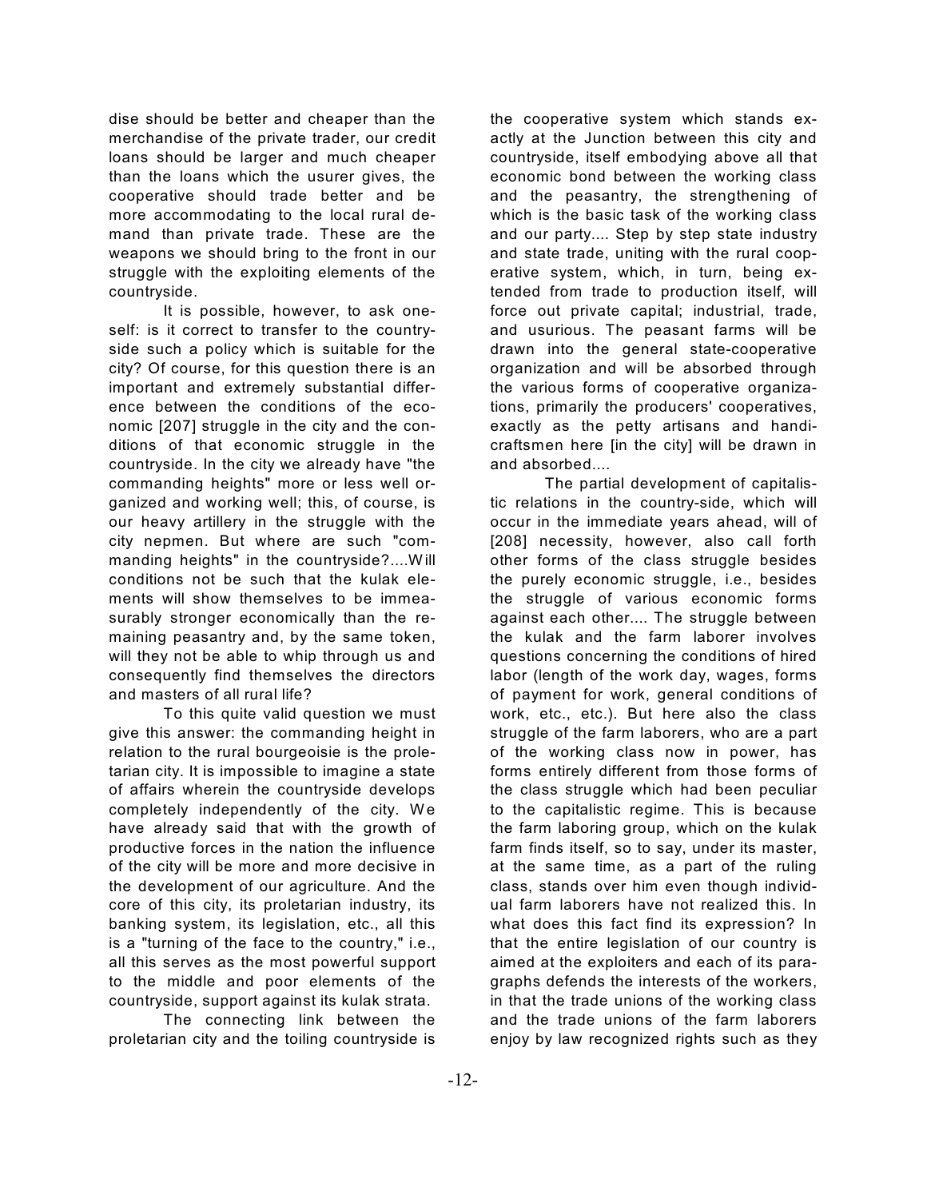dise should be better and cheaper than the merchandise of the private trader, our credit loans should be larger and much cheaper than the loans which the usurer gives, the cooperative should trade better and be more accommodating to the local rural demand than private trade. These are the weapons we should bring to the front in our struggle with the exploiting elements of the countryside.

It is possible, however, to ask oneself: is it correct to transfer to the countryside such a policy which is suitable for the city? Of course, for this question there is an important and extremely substantial difference between the conditions of the economic [207] struggle in the city and the conditions of that economic struggle in the countryside. In the city we already have "the commanding heights" more or less well organized and working well; this, of course, is our heavy artillery in the struggle with the city nepmen. But where are such "commanding heights" in the countryside?....Will conditions not be such that the kulak elements will show themselves to be immeasurably stronger economically than the remaining peasantry and, by the same token, will they not be able to whip through us and consequently find themselves the directors and masters of all rural life?

To this quite valid question we must give this answer: the commanding height in relation to the rural bourgeoisie is the proletarian city. It is impossible to imagine a state of affairs wherein the countryside develops completely independently of the city. We have already said that with the growth of productive forces in the nation the influence of the city will be more and more decisive in the development of our agriculture. And the core of this city, its proletarian industry, its banking system, its legislation, etc., all this is a "turning of the face to the country," i.e., all this serves as the most powerful support to the middle and poor elements of the countryside, support against its kulak strata.

The connecting link between the proletarian city and the toiling countryside is the cooperative system which stands exactly at the Junction between this city and countryside, itself embodying above all that economic bond between the working class and the peasantry, the strengthening of which is the basic task of the working class and our party.... Step by step state industry and state trade, uniting with the rural cooperative system, which, in turn, being extended from trade to production itself, will force out private capital; industrial, trade, and usurious. The peasant farms will be drawn into the general state-cooperative organization and will be absorbed through the various forms of cooperative organizations, primarily the producers' cooperatives, exactly as the petty artisans and handicraftsmen here [in the city] will be drawn in and absorbed....

The partial development of capitalistic relations in the country-side, which will occur in the immediate years ahead, will of [208] necessity, however, also call forth other forms of the class struggle besides the purely economic struggle, i.e., besides the struggle of various economic forms against each other.... The struggle between the kulak and the farm laborer involves questions concerning the conditions of hired labor (length of the work day, wages, forms of payment for work, general conditions of work, etc., etc.). But here also the class struggle of the farm laborers, who are a part of the working class now in power, has forms entirely different from those forms of the class struggle which had been peculiar to the capitalistic regime. This is because the farm laboring group, which on the kulak farm finds itself, so to say, under its master, at the same time, as a part of the ruling class, stands over him even though individual farm laborers have not realized this. In what does this fact find its expression? In that the entire legislation of our country is aimed at the exploiters and each of its paragraphs defends the interests of the workers, in that the trade unions of the working class and the trade unions of the farm laborers enjoy by law recognized rights such as they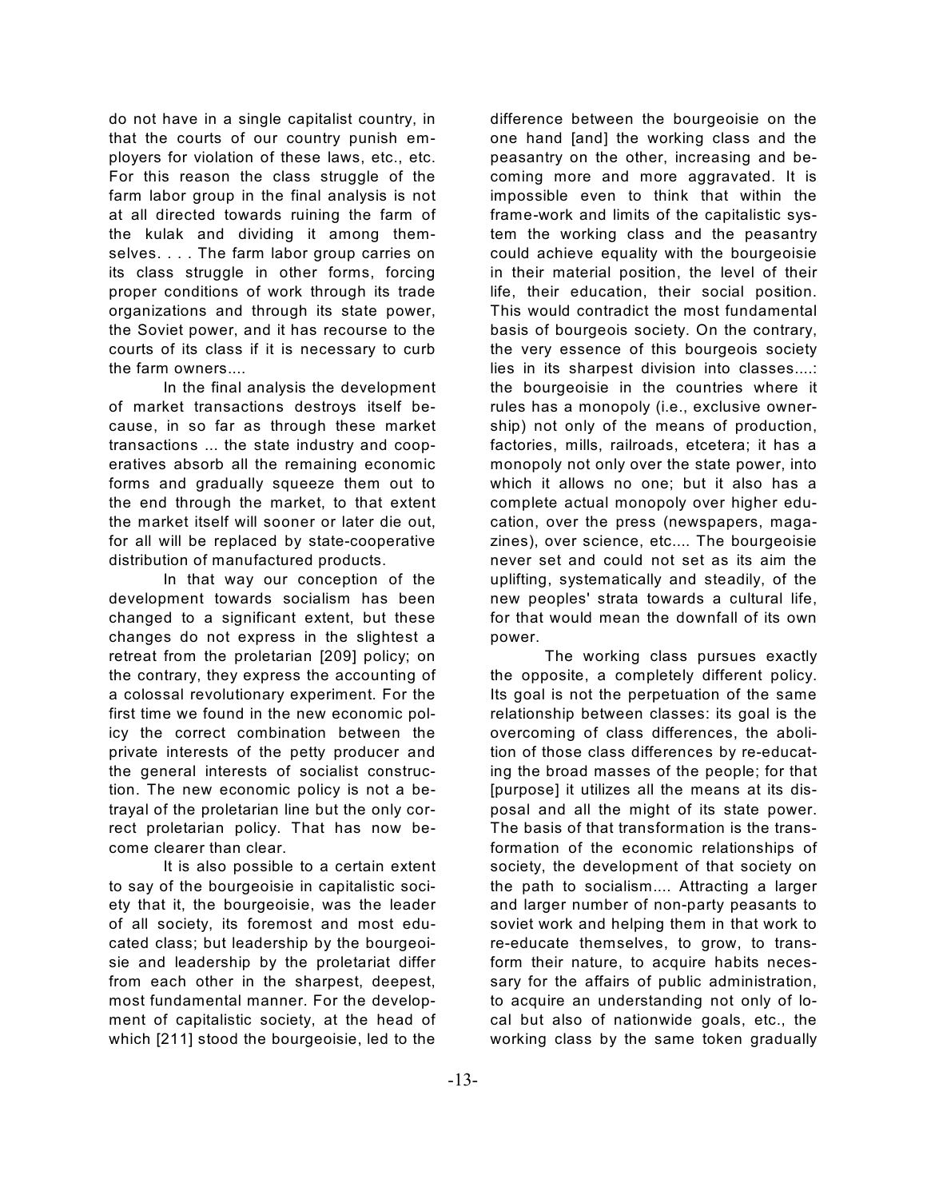do not have in a single capitalist country, in that the courts of our country punish employers for violation of these laws, etc., etc. For this reason the class struggle of the farm labor group in the final analysis is not at all directed towards ruining the farm of the kulak and dividing it among themselves. . . . The farm labor group carries on its class struggle in other forms, forcing proper conditions of work through its trade organizations and through its state power, the Soviet power, and it has recourse to the courts of its class if it is necessary to curb the farm owners....

In the final analysis the development of market transactions destroys itself because, in so far as through these market transactions ... the state industry and cooperatives absorb all the remaining economic forms and gradually squeeze them out to the end through the market, to that extent the market itself will sooner or later die out, for all will be replaced by state-cooperative distribution of manufactured products.

In that way our conception of the development towards socialism has been changed to a significant extent, but these changes do not express in the slightest a retreat from the proletarian [209] policy; on the contrary, they express the accounting of a colossal revolutionary experiment. For the first time we found in the new economic policy the correct combination between the private interests of the petty producer and the general interests of socialist construction. The new economic policy is not a betrayal of the proletarian line but the only correct proletarian policy. That has now become clearer than clear.

It is also possible to a certain extent to say of the bourgeoisie in capitalistic society that it, the bourgeoisie, was the leader of all society, its foremost and most educated class; but leadership by the bourgeoisie and leadership by the proletariat differ from each other in the sharpest, deepest, most fundamental manner. For the development of capitalistic society, at the head of which [211] stood the bourgeoisie, led to the

difference between the bourgeoisie on the one hand [and] the working class and the peasantry on the other, increasing and becoming more and more aggravated. It is impossible even to think that within the frame-work and limits of the capitalistic system the working class and the peasantry could achieve equality with the bourgeoisie in their material position, the level of their life, their education, their social position. This would contradict the most fundamental basis of bourgeois society. On the contrary, the very essence of this bourgeois society lies in its sharpest division into classes....: the bourgeoisie in the countries where it rules has a monopoly (i.e., exclusive ownership) not only of the means of production, factories, mills, railroads, etcetera; it has a monopoly not only over the state power, into which it allows no one; but it also has a complete actual monopoly over higher education, over the press (newspapers, magazines), over science, etc.... The bourgeoisie never set and could not set as its aim the uplifting, systematically and steadily, of the new peoples' strata towards a cultural life, for that would mean the downfall of its own power.

The working class pursues exactly the opposite, a completely different policy. Its goal is not the perpetuation of the same relationship between classes: its goal is the overcoming of class differences, the abolition of those class differences by re-educating the broad masses of the people; for that [purpose] it utilizes all the means at its disposal and all the might of its state power. The basis of that transformation is the transformation of the economic relationships of society, the development of that society on the path to socialism.... Attracting a larger and larger number of non-party peasants to soviet work and helping them in that work to re-educate themselves, to grow, to transform their nature, to acquire habits necessary for the affairs of public administration, to acquire an understanding not only of local but also of nationwide goals, etc., the working class by the same token gradually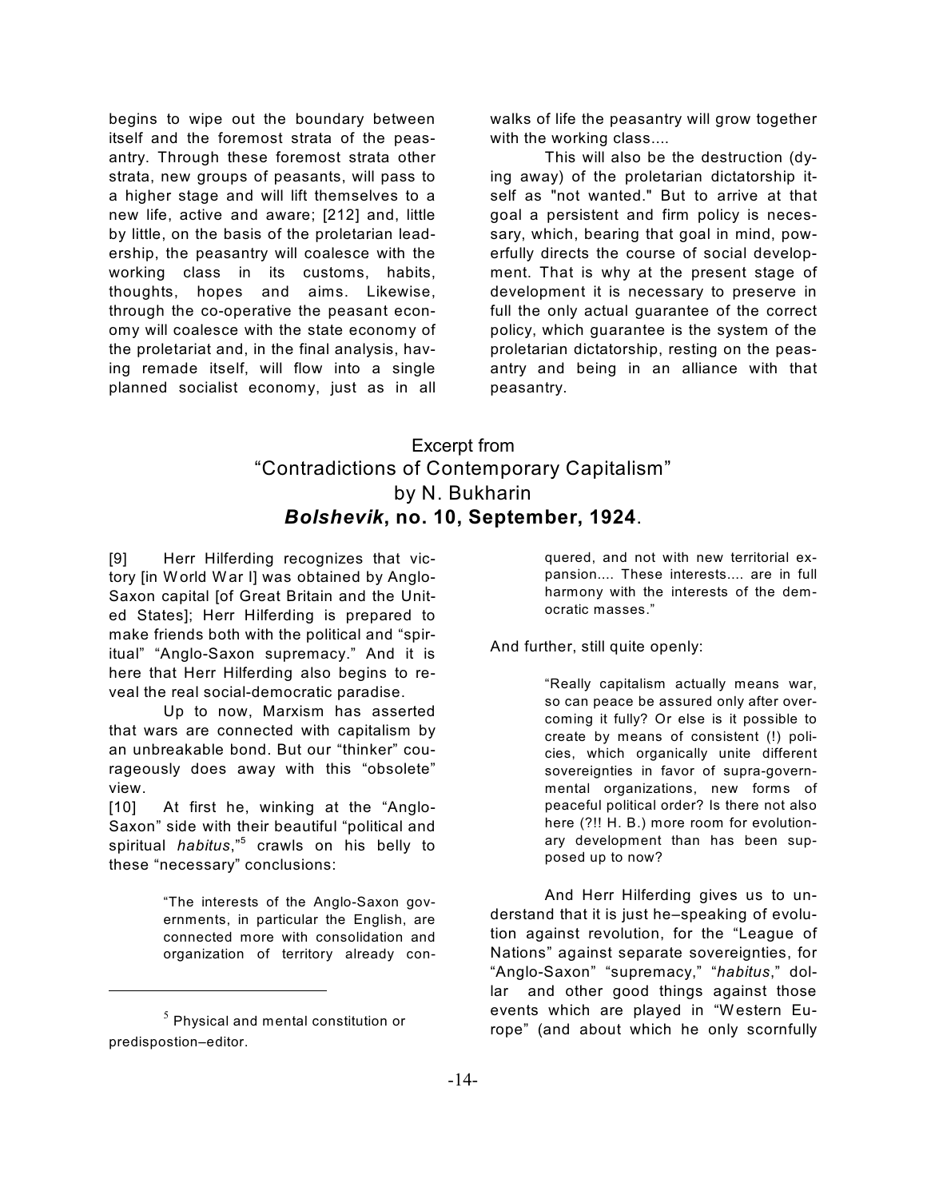begins to wipe out the boundary between itself and the foremost strata of the peasantry. Through these foremost strata other strata, new groups of peasants, will pass to a higher stage and will lift themselves to a new life, active and aware; [212] and, little by little, on the basis of the proletarian leadership, the peasantry will coalesce with the working class in its customs, habits, thoughts, hopes and aims. Likewise, through the co-operative the peasant economy will coalesce with the state economy of the proletariat and, in the final analysis, having remade itself, will flow into a single planned socialist economy, just as in all

walks of life the peasantry will grow together with the working class....

This will also be the destruction (dying away) of the proletarian dictatorship itself as "not wanted." But to arrive at that goal a persistent and firm policy is necessary, which, bearing that goal in mind, powerfully directs the course of social development. That is why at the present stage of development it is necessary to preserve in full the only actual guarantee of the correct policy, which guarantee is the system of the proletarian dictatorship, resting on the peasantry and being in an alliance with that peasantry.

# Excerpt from "Contradictions of Contemporary Capitalism" by N. Bukharin *Bolshevik***, no. 10, September, 1924**.

[9] Herr Hilferding recognizes that victory [in World War I] was obtained by Anglo-Saxon capital [of Great Britain and the United States]; Herr Hilferding is prepared to make friends both with the political and "spiritual" "Anglo-Saxon supremacy." And it is here that Herr Hilferding also begins to reveal the real social-democratic paradise.

Up to now, Marxism has asserted that wars are connected with capitalism by an unbreakable bond. But our "thinker" courageously does away with this "obsolete" view.

[10] At first he, winking at the "Anglo-Saxon" side with their beautiful "political and spiritual *habitus*,"<sup>5</sup> crawls on his belly to these "necessary" conclusions:

> "The interests of the Anglo-Saxon governments, in particular the English, are connected more with consolidation and organization of territory already con

quered, and not with new territorial expansion.... These interests.... are in full harmony with the interests of the democratic masses."

And further, still quite openly:

"Really capitalism actually means war, so can peace be assured only after overcoming it fully? Or else is it possible to create by means of consistent (!) policies, which organically unite different sovereignties in favor of supra-governmental organizations, new forms of peaceful political order? Is there not also here (?!! H. B.) more room for evolutionary development than has been supposed up to now?

And Herr Hilferding gives us to understand that it is just he–speaking of evolution against revolution, for the "League of Nations" against separate sovereignties, for "Anglo-Saxon" "supremacy," "*habitus*," dollar and other good things against those events which are played in "Western Europe" (and about which he only scornfully

 $^5$  Physical and mental constitution or predispostion–editor.